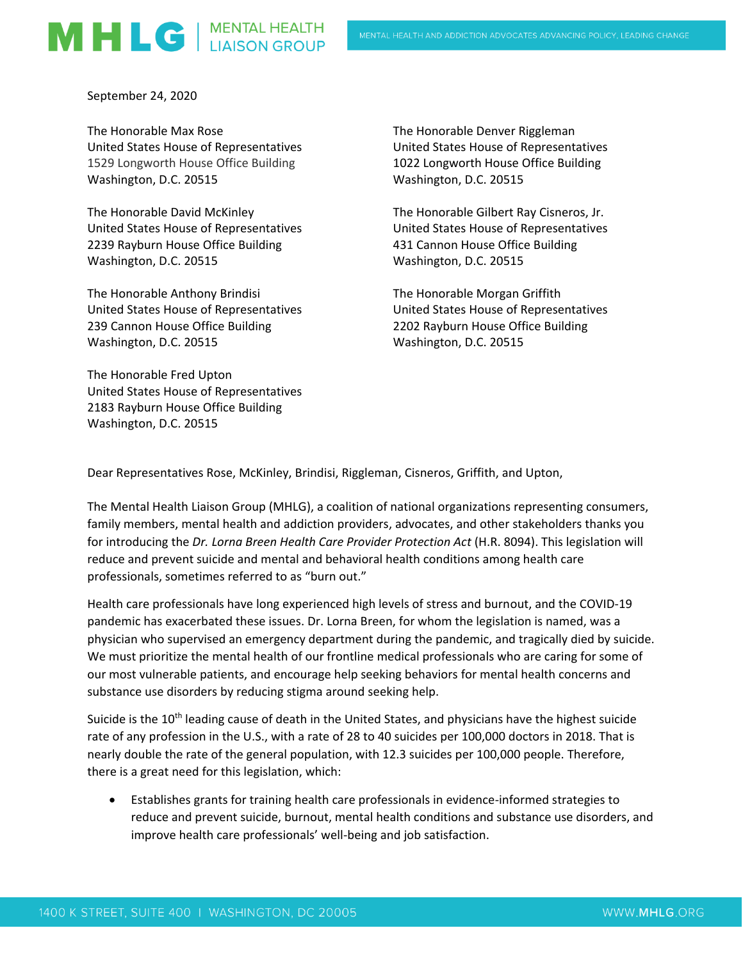## MHLG | MENTAL HEALTH

September 24, 2020

The Honorable Max Rose United States House of Representatives 1529 Longworth House Office Building Washington, D.C. 20515

The Honorable David McKinley United States House of Representatives 2239 Rayburn House Office Building Washington, D.C. 20515

The Honorable Anthony Brindisi United States House of Representatives 239 Cannon House Office Building Washington, D.C. 20515

The Honorable Fred Upton United States House of Representatives 2183 Rayburn House Office Building Washington, D.C. 20515

The Honorable Denver Riggleman United States House of Representatives 1022 Longworth House Office Building Washington, D.C. 20515

The Honorable Gilbert Ray Cisneros, Jr. United States House of Representatives 431 Cannon House Office Building Washington, D.C. 20515

The Honorable Morgan Griffith United States House of Representatives 2202 Rayburn House Office Building Washington, D.C. 20515

Dear Representatives Rose, McKinley, Brindisi, Riggleman, Cisneros, Griffith, and Upton,

The Mental Health Liaison Group (MHLG), a coalition of national organizations representing consumers, family members, mental health and addiction providers, advocates, and other stakeholders thanks you for introducing the *Dr. Lorna Breen Health Care Provider Protection Act* (H.R. 8094). This legislation will reduce and prevent suicide and mental and behavioral health conditions among health care professionals, sometimes referred to as "burn out."

Health care professionals have long experienced high levels of stress and burnout, and the COVID-19 pandemic has exacerbated these issues. Dr. Lorna Breen, for whom the legislation is named, was a physician who supervised an emergency department during the pandemic, and tragically died by suicide. We must prioritize the mental health of our frontline medical professionals who are caring for some of our most vulnerable patients, and encourage help seeking behaviors for mental health concerns and substance use disorders by reducing stigma around seeking help.

Suicide is the 10<sup>th</sup> leading cause of death in the United States, and physicians have the highest suicide rate of any profession in the U.S., with a rate of 28 to 40 suicides per 100,000 doctors in 2018. That is nearly double the rate of the general population, with 12.3 suicides per 100,000 people. Therefore, there is a great need for this legislation, which:

• Establishes grants for training health care professionals in evidence-informed strategies to reduce and prevent suicide, burnout, mental health conditions and substance use disorders, and improve health care professionals' well-being and job satisfaction.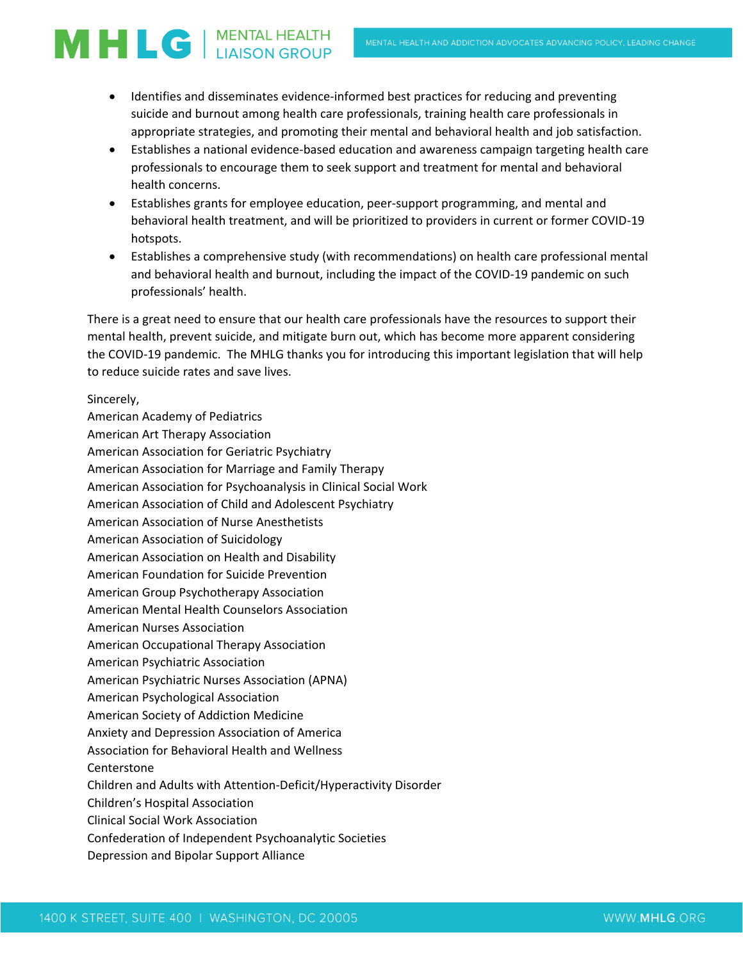## **MHLG** | MENTAL HEALTH

- Identifies and disseminates evidence-informed best practices for reducing and preventing suicide and burnout among health care professionals, training health care professionals in appropriate strategies, and promoting their mental and behavioral health and job satisfaction.
- Establishes a national evidence-based education and awareness campaign targeting health care professionals to encourage them to seek support and treatment for mental and behavioral health concerns.
- Establishes grants for employee education, peer-support programming, and mental and behavioral health treatment, and will be prioritized to providers in current or former COVID-19 hotspots.
- Establishes a comprehensive study (with recommendations) on health care professional mental and behavioral health and burnout, including the impact of the COVID-19 pandemic on such professionals' health.

There is a great need to ensure that our health care professionals have the resources to support their mental health, prevent suicide, and mitigate burn out, which has become more apparent considering the COVID-19 pandemic. The MHLG thanks you for introducing this important legislation that will help to reduce suicide rates and save lives.

Sincerely, American Academy of Pediatrics American Art Therapy Association American Association for Geriatric Psychiatry American Association for Marriage and Family Therapy American Association for Psychoanalysis in Clinical Social Work American Association of Child and Adolescent Psychiatry American Association of Nurse Anesthetists American Association of Suicidology American Association on Health and Disability American Foundation for Suicide Prevention American Group Psychotherapy Association American Mental Health Counselors Association American Nurses Association American Occupational Therapy Association American Psychiatric Association American Psychiatric Nurses Association (APNA) American Psychological Association American Society of Addiction Medicine Anxiety and Depression Association of America Association for Behavioral Health and Wellness **Centerstone** Children and Adults with Attention-Deficit/Hyperactivity Disorder Children's Hospital Association Clinical Social Work Association Confederation of Independent Psychoanalytic Societies Depression and Bipolar Support Alliance